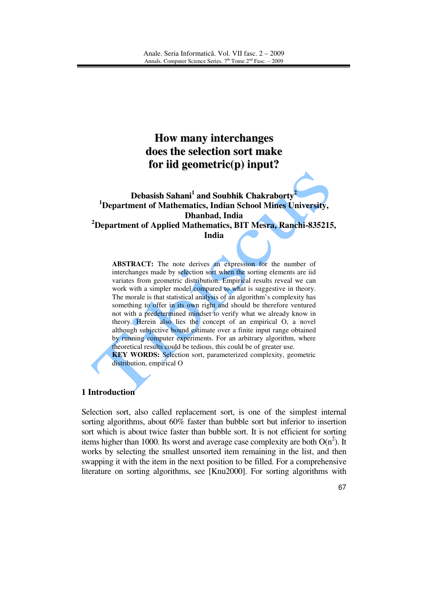# **How many interchanges does the selection sort make for iid geometric(p) input?**

**Debasish Sahani 1 and Soubhik Chakraborty 2 <sup>1</sup>Department of Mathematics, Indian School Mines University, Dhanbad, India <sup>2</sup>Department of Applied Mathematics, BIT Mesra, Ranchi-835215, India** 

**ABSTRACT:** The note derives an expression for the number of interchanges made by selection sort when the sorting elements are iid variates from geometric distribution. Empirical results reveal we can work with a simpler model compared to what is suggestive in theory. The morale is that statistical analysis of an algorithm's complexity has something to offer in its own right and should be therefore ventured not with a predetermined mindset to verify what we already know in theory. Herein also lies the concept of an empirical O, a novel although subjective bound estimate over a finite input range obtained by running computer experiments. For an arbitrary algorithm, where theoretical results could be tedious, this could be of greater use. **KEY WORDS:** Selection sort, parameterized complexity, geometric distribution, empirical O

#### **1 Introduction**

Selection sort, also called replacement sort, is one of the simplest internal sorting algorithms, about 60% faster than bubble sort but inferior to insertion sort which is about twice faster than bubble sort. It is not efficient for sorting items higher than 1000. Its worst and average case complexity are both  $O(n^2)$ . It works by selecting the smallest unsorted item remaining in the list, and then swapping it with the item in the next position to be filled. For a comprehensive literature on sorting algorithms, see [Knu2000]. For sorting algorithms with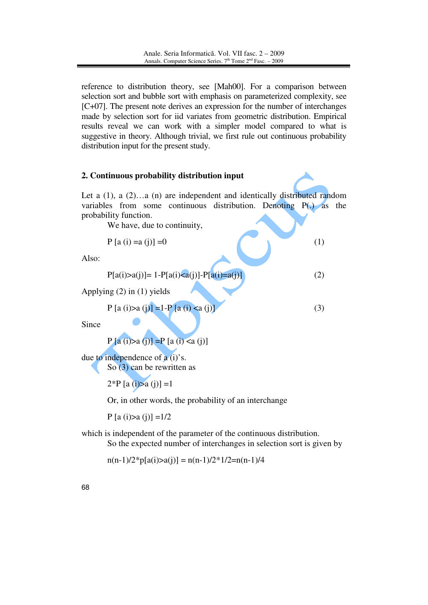reference to distribution theory, see [Mah00]. For a comparison between selection sort and bubble sort with emphasis on parameterized complexity, see [C+07]. The present note derives an expression for the number of interchanges made by selection sort for iid variates from geometric distribution. Empirical results reveal we can work with a simpler model compared to what is suggestive in theory. Although trivial, we first rule out continuous probability distribution input for the present study.

#### **2. Continuous probability distribution input**

Let a  $(1)$ , a  $(2)$ …a  $(n)$  are independent and identically distributed random variables from some continuous distribution. Denoting P(.) as the probability function.

We have, due to continuity,

$$
P [a (i) = a (j)] = 0
$$
 (1)

Also:

$$
P[a(i) > a(j)] = 1 - P[a(i) < a(j)] - P[a(i) = a(j)]
$$
\n(2)

Applying (2) in (1) yields

$$
P [a (i) > a (j)] = 1 - P [a (i) < a (j)]
$$
 (3)

Since

$$
P[a(i) > a(j)] = P[a(i) < a(j)]
$$

due to independence of  $a(i)$ 's.

So (3) can be rewritten as

 $2^{\ast}P$  [a (i) $>a$  (i)] = 1

Or, in other words, the probability of an interchange

P [a (i) $>a (i)$ ] =1/2

which is independent of the parameter of the continuous distribution. So the expected number of interchanges in selection sort is given by

 $n(n-1)/2*p[a(i)>a(j)] = n(n-1)/2*1/2=n(n-1)/4$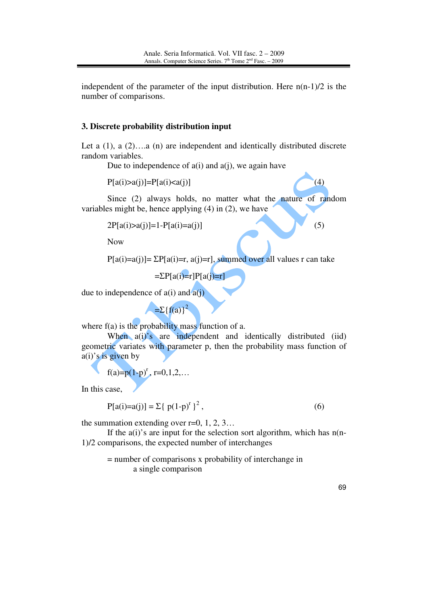independent of the parameter of the input distribution. Here  $n(n-1)/2$  is the number of comparisons.

#### **3. Discrete probability distribution input**

Let a  $(1)$ , a  $(2)$ ….a  $(n)$  are independent and identically distributed discrete random variables.

Due to independence of  $a(i)$  and  $a(j)$ , we again have

 $P[a(i) > a(j)] = P[a(i) < a(j)]$  (4)

Since (2) always holds, no matter what the nature of random variables might be, hence applying (4) in (2), we have

$$
2P[a(i) > a(j)] = 1 - P[a(i) = a(j)] \tag{5}
$$

Now

 $P[a(i)=a(j)] = \sum P[a(i)=r, a(j)=r]$ , summed over all values r can take

$$
=\Sigma P[a(i)=r]P[a(j)=r]
$$

due to independence of  $a(i)$  and  $a(j)$ 

 $=\sum {\{f(a)\}}^2$ 

where  $f(a)$  is the probability mass function of a.

When a(i)'s are independent and identically distributed (iid) geometric variates with parameter p, then the probability mass function of  $a(i)$ 's is given by

$$
f(a)=p(1-p)^r
$$
,  $r=0,1,2,...$ 

In this case,

$$
P[a(i)=a(j)] = \sum \{p(1-p)^r\}^2,
$$
\n(6)

the summation extending over  $r=0, 1, 2, 3...$ 

If the  $a(i)$ 's are input for the selection sort algorithm, which has  $n(n-$ 1)/2 comparisons, the expected number of interchanges

= number of comparisons x probability of interchange in a single comparison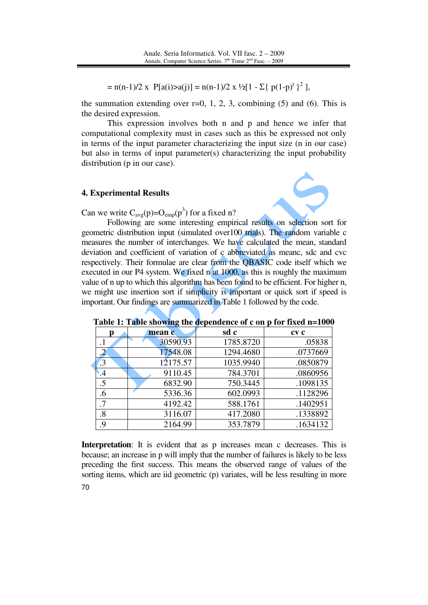= n(n-1)/2 x P[a(i)>a(j)] = n(n-1)/2 x ½[1 -  $\Sigma$ { p(1-p)<sup>r</sup> }<sup>2</sup>],

the summation extending over  $r=0, 1, 2, 3$ , combining (5) and (6). This is the desired expression.

This expression involves both n and p and hence we infer that computational complexity must in cases such as this be expressed not only in terms of the input parameter characterizing the input size (n in our case) but also in terms of input parameter(s) characterizing the input probability distribution (p in our case).

#### **4. Experimental Results**

Can we write  $C_{avg}(p) = O_{emp}(p^3)$  for a fixed n?

 Following are some interesting empirical results on selection sort for geometric distribution input (simulated over100 trials). The random variable c measures the number of interchanges. We have calculated the mean, standard deviation and coefficient of variation of c abbreviated as meanc, sdc and cvc respectively. Their formulae are clear from the QBASIC code itself which we executed in our P4 system. We fixed n at 1000, as this is roughly the maximum value of n up to which this algorithm has been found to be efficient. For higher n, we might use insertion sort if simplicity is important or quick sort if speed is important. Our findings are summarized in Table 1 followed by the code.

|           | mean c   | sd c      | cv c     |
|-----------|----------|-----------|----------|
| $\cdot$   | 30590.93 | 1785.8720 | .05838   |
|           | 17548.08 | 1294.4680 | .0737669 |
| $\cdot$ 3 | 12175.57 | 1035.9940 | .0850879 |
| .4        | 9110.45  | 784.3701  | .0860956 |
| .5        | 6832.90  | 750.3445  | .1098135 |
| .6        | 5336.36  | 602.0993  | .1128296 |
| .7        | 4192.42  | 588.1761  | .1402951 |
| .8        | 3116.07  | 417.2080  | .1338892 |
| 9         | 2164.99  | 353.7879  | .1634132 |

**Table 1: Table showing the dependence of c on p for fixed n=1000** 

70 **Interpretation**: It is evident that as p increases mean c decreases. This is because; an increase in p will imply that the number of failures is likely to be less preceding the first success. This means the observed range of values of the sorting items, which are iid geometric (p) variates, will be less resulting in more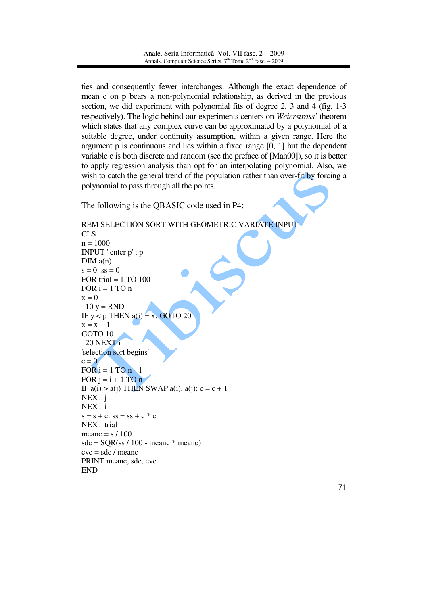ties and consequently fewer interchanges. Although the exact dependence of mean c on p bears a non-polynomial relationship, as derived in the previous section, we did experiment with polynomial fits of degree 2, 3 and 4 (fig. 1-3 respectively). The logic behind our experiments centers on *Weierstrass'* theorem which states that any complex curve can be approximated by a polynomial of a suitable degree, under continuity assumption, within a given range. Here the argument p is continuous and lies within a fixed range [0, 1] but the dependent variable c is both discrete and random (see the preface of [Mah00]), so it is better to apply regression analysis than opt for an interpolating polynomial. Also, we wish to catch the general trend of the population rather than over-fit by forcing a polynomial to pass through all the points.

The following is the QBASIC code used in P4:

```
REM SELECTION SORT WITH GEOMETRIC VARIATE INPUT 
CLS 
n = 1000INPUT "enter p"; p 
DIM a(n)s = 0: ss = 0FOR trial = 1 TO 100
FOR i = 1 TO n
x = 010 y = RNDIF y < p THEN a(i) = x: GOTO 20x = x + 1GOTO 10 
  20 NEXT i 
'selection sort begins' 
c = 0FOR i = 1 TO n - 1FOR j = i + 1 TO n
IF a(i) > a(j) THEN SWAP a(i), a(j): c = c + 1NEXT j 
NEXT i 
s = s + c: ss = ss + c * cNEXT trial 
meanc = s / 100sdc = SQR(ss / 100 - meanc * meanc)
cvc = sdc / \text{mean}PRINT meanc, sdc, cvc 
END
```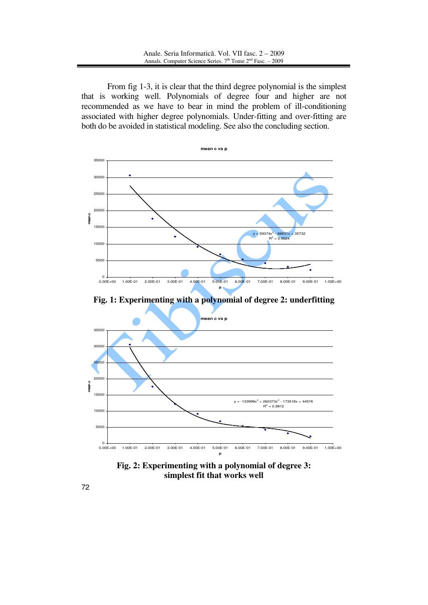From fig 1-3, it is clear that the third degree polynomial is the simplest that is working well. Polynomials of degree four and higher are not recommended as we have to bear in mind the problem of ill-conditioning associated with higher degree polynomials. Under-fitting and over-fitting are both do be avoided in statistical modeling. See also the concluding section.



**Fig. 1: Experimenting with a polynomial of degree 2: underfitting** 



**Fig. 2: Experimenting with a polynomial of degree 3: simplest fit that works well**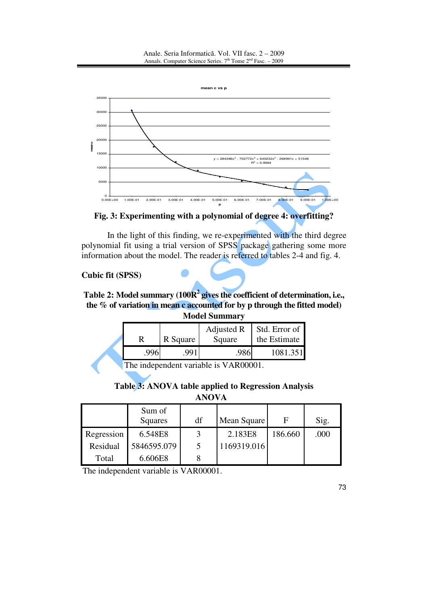Anale. Seria Informatică. Vol. VII fasc. 2 – 2009 Annals. Computer Science Series.  $7<sup>th</sup>$  Tome  $2<sup>nd</sup>$  Fasc. – 2009



**Fig. 3: Experimenting with a polynomial of degree 4: overfitting?** 

In the light of this finding, we re-experimented with the third degree polynomial fit using a trial version of SPSS package gathering some more information about the model. The reader is referred to tables 2-4 and fig. 4.

# **Cubic fit (SPSS)**

**Table 2: Model summary (100R<sup>2</sup> gives the coefficient of determination, i.e., the % of variation in mean c accounted for by p through the fitted model) Model Summary**

| <b>IVIUULI DUMMINGI V</b>            |          |            |               |  |  |  |
|--------------------------------------|----------|------------|---------------|--|--|--|
|                                      |          | Adjusted R | Std. Error of |  |  |  |
|                                      | R Square | Square     | the Estimate  |  |  |  |
| .996                                 | .991     |            | 1081.351      |  |  |  |
| The independent variable is $VAP000$ |          |            |               |  |  |  |

The independent variable is VAR00001.

|  |  |  |  |  |  | Table 3: ANOVA table applied to Regression Analysis |  |
|--|--|--|--|--|--|-----------------------------------------------------|--|
|--|--|--|--|--|--|-----------------------------------------------------|--|

|            | Sum of<br>Squares | df | Mean Square |         | Sig. |
|------------|-------------------|----|-------------|---------|------|
| Regression | 6.548E8           |    | 2.183E8     | 186.660 | .000 |
| Residual   | 5846595.079       |    | 1169319.016 |         |      |
| Total      | 6.606E8           |    |             |         |      |

The independent variable is VAR00001.

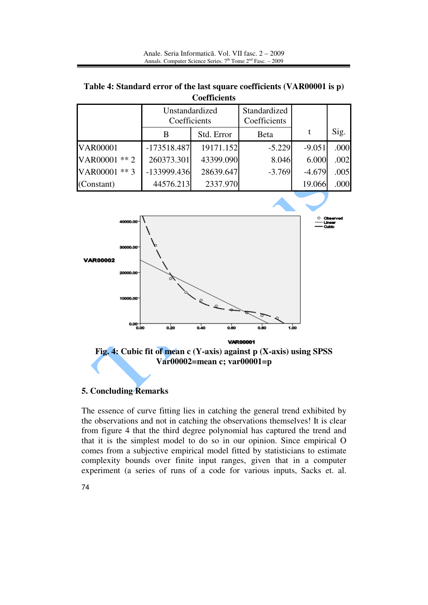**Table 4: Standard error of the last square coefficients (VAR00001 is p) Coefficients**

|                 | Unstandardized<br>Coefficients |            | Standardized<br>Coefficients |          |      |
|-----------------|--------------------------------|------------|------------------------------|----------|------|
|                 | B                              | Std. Error | <b>B</b> eta                 |          | Sig. |
| <b>VAR00001</b> | $-173518.487$                  | 19171.152  | $-5.229$                     | $-9.051$ | .000 |
| VAR00001 ** 2   | 260373.301                     | 43399.090  | 8.046                        | 6.000    | .002 |
| VAR00001 ** 3   | -133999.436                    | 28639.647  | $-3.769$                     | $-4.679$ | .005 |
| (Constant)      | 44576.213                      | 2337.970   |                              | 19.066   | .000 |
|                 |                                |            |                              |          |      |



**Fig. 4: Cubic fit of mean c (Y-axis) against p (X-axis) using SPSS Var00002=mean c; var00001=p** 

## **5. Concluding Remarks**

The essence of curve fitting lies in catching the general trend exhibited by the observations and not in catching the observations themselves! It is clear from figure 4 that the third degree polynomial has captured the trend and that it is the simplest model to do so in our opinion. Since empirical O comes from a subjective empirical model fitted by statisticians to estimate complexity bounds over finite input ranges, given that in a computer experiment (a series of runs of a code for various inputs, Sacks et. al.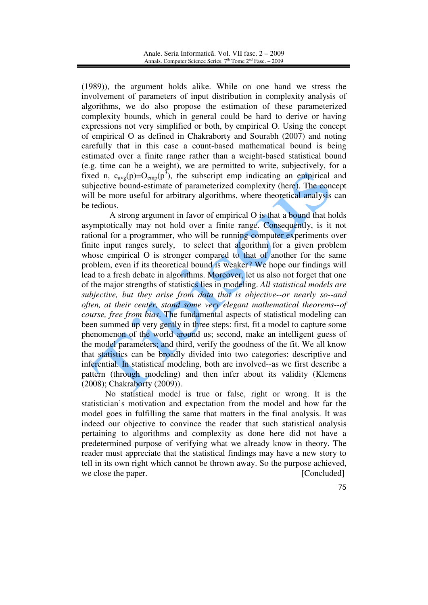(1989)), the argument holds alike. While on one hand we stress the involvement of parameters of input distribution in complexity analysis of algorithms, we do also propose the estimation of these parameterized complexity bounds, which in general could be hard to derive or having expressions not very simplified or both, by empirical O. Using the concept of empirical O as defined in Chakraborty and Sourabh (2007) and noting carefully that in this case a count-based mathematical bound is being estimated over a finite range rather than a weight-based statistical bound (e.g. time can be a weight), we are permitted to write, subjectively, for a fixed n,  $c_{\text{avg}}(p) = O_{\text{emp}}(p^3)$ , the subscript emp indicating an empirical and subjective bound-estimate of parameterized complexity (here). The concept will be more useful for arbitrary algorithms, where theoretical analysis can be tedious.

 A strong argument in favor of empirical O is that a bound that holds asymptotically may not hold over a finite range. Consequently, is it not rational for a programmer, who will be running computer experiments over finite input ranges surely, to select that algorithm for a given problem whose empirical O is stronger compared to that of another for the same problem, even if its theoretical bound is weaker? We hope our findings will lead to a fresh debate in algorithms. Moreover, let us also not forget that one of the major strengths of statistics lies in modeling. *All statistical models are subjective, but they arise from data that is objective--or nearly so--and often, at their center, stand some very elegant mathematical theorems--of course, free from bias*. The fundamental aspects of statistical modeling can been summed up very gently in three steps: first, fit a model to capture some phenomenon of the world around us; second, make an intelligent guess of the model parameters; and third, verify the goodness of the fit. We all know that statistics can be broadly divided into two categories: descriptive and inferential. In statistical modeling, both are involved--as we first describe a pattern (through modeling) and then infer about its validity (Klemens (2008); Chakraborty (2009)).

 No statistical model is true or false, right or wrong. It is the statistician's motivation and expectation from the model and how far the model goes in fulfilling the same that matters in the final analysis. It was indeed our objective to convince the reader that such statistical analysis pertaining to algorithms and complexity as done here did not have a predetermined purpose of verifying what we already know in theory. The reader must appreciate that the statistical findings may have a new story to tell in its own right which cannot be thrown away. So the purpose achieved, we close the paper. [Concluded]